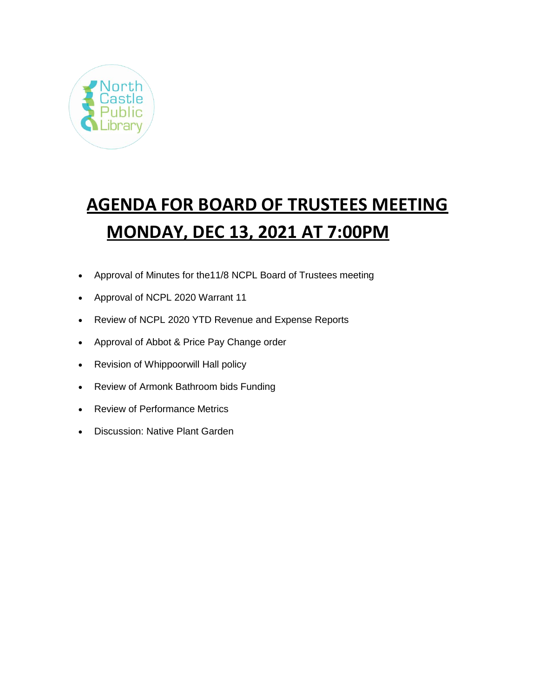

# **AGENDA FOR BOARD OF TRUSTEES MEETING MONDAY, DEC 13, 2021 AT 7:00PM**

- Approval of Minutes for the11/8 NCPL Board of Trustees meeting
- Approval of NCPL 2020 Warrant 11
- Review of NCPL 2020 YTD Revenue and Expense Reports
- Approval of Abbot & Price Pay Change order
- Revision of Whippoorwill Hall policy
- Review of Armonk Bathroom bids Funding
- Review of Performance Metrics
- Discussion: Native Plant Garden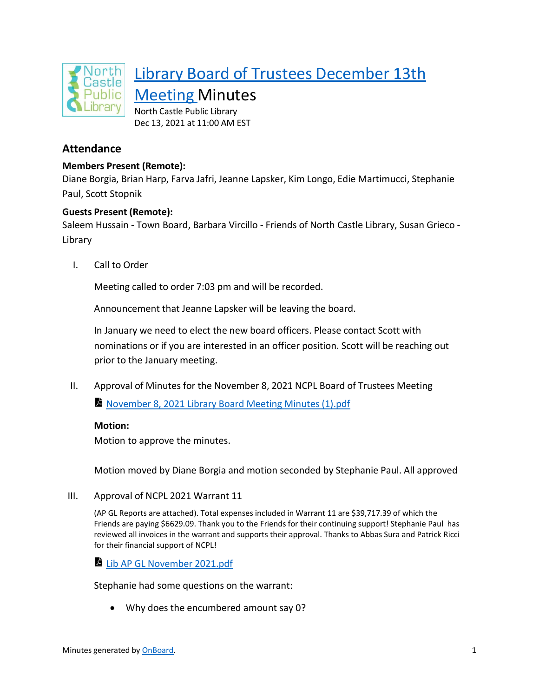

# Library Board of Trustees December 13th

Meeting Minutes North Castle Public Library

Dec 13, 2021 at 11:00 AM EST

# **Attendance**

# **Members Present (Remote):**

Diane Borgia, Brian Harp, Farva Jafri, Jeanne Lapsker, Kim Longo, Edie Martimucci, Stephanie Paul, Scott Stopnik

## **Guests Present (Remote):**

Saleem Hussain - Town Board, Barbara Vircillo - Friends of North Castle Library, Susan Grieco - Library

I. Call to Order

Meeting called to order 7:03 pm and will be recorded.

Announcement that Jeanne Lapsker will be leaving the board.

In January we need to elect the new board officers. Please contact Scott with nominations or if you are interested in an officer position. Scott will be reaching out prior to the January meeting.

II. Approval of Minutes for the November 8, 2021 NCPL Board of Trustees Meeting

November 8, 2021 Library Board Meeting Minutes (1).pdf

## **Motion:**

Motion to approve the minutes.

Motion moved by Diane Borgia and motion seconded by Stephanie Paul. All approved

III. Approval of NCPL 2021 Warrant 11

(AP GL Reports are attached). Total expenses included in Warrant 11 are \$39,717.39 of which the Friends are paying \$6629.09. Thank you to the Friends for their continuing support! Stephanie Paul has reviewed all invoices in the warrant and supports their approval. Thanks to Abbas Sura and Patrick Ricci for their financial support of NCPL!

Lib AP GL November 2021.pdf

Stephanie had some questions on the warrant:

• Why does the encumbered amount say 0?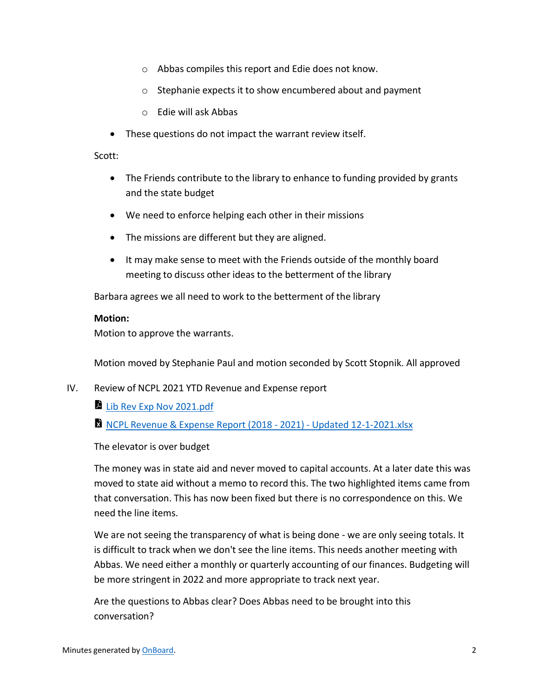- o Abbas compiles this report and Edie does not know.
- o Stephanie expects it to show encumbered about and payment
- o Edie will ask Abbas
- These questions do not impact the warrant review itself.

Scott:

- The Friends contribute to the library to enhance to funding provided by grants and the state budget
- We need to enforce helping each other in their missions
- The missions are different but they are aligned.
- It may make sense to meet with the Friends outside of the monthly board meeting to discuss other ideas to the betterment of the library

Barbara agrees we all need to work to the betterment of the library

#### **Motion:**

Motion to approve the warrants.

Motion moved by Stephanie Paul and motion seconded by Scott Stopnik. All approved

- IV. Review of NCPL 2021 YTD Revenue and Expense report
	- Lib Rev Exp Nov 2021.pdf

NCPL Revenue & Expense Report (2018 - 2021) - Updated 12-1-2021.xlsx

The elevator is over budget

The money was in state aid and never moved to capital accounts. At a later date this was moved to state aid without a memo to record this. The two highlighted items came from that conversation. This has now been fixed but there is no correspondence on this. We need the line items.

We are not seeing the transparency of what is being done - we are only seeing totals. It is difficult to track when we don't see the line items. This needs another meeting with Abbas. We need either a monthly or quarterly accounting of our finances. Budgeting will be more stringent in 2022 and more appropriate to track next year.

Are the questions to Abbas clear? Does Abbas need to be brought into this conversation?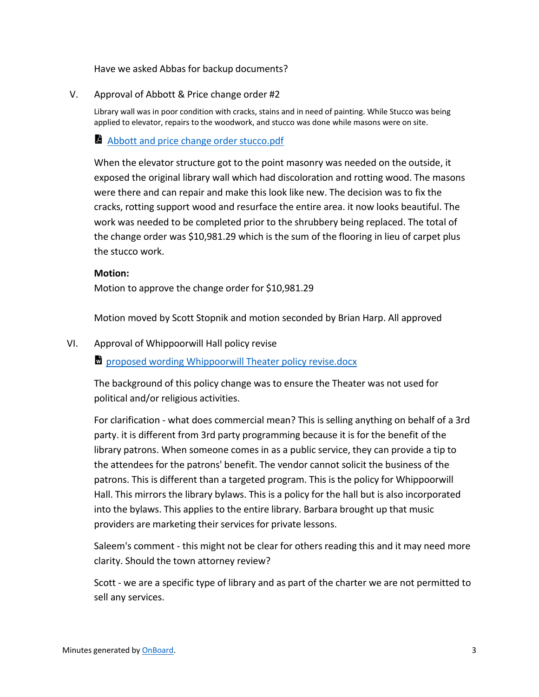Have we asked Abbas for backup documents?

#### V. Approval of Abbott & Price change order #2

Library wall was in poor condition with cracks, stains and in need of painting. While Stucco was being applied to elevator, repairs to the woodwork, and stucco was done while masons were on site.

#### Abbott and price change order stucco.pdf

When the elevator structure got to the point masonry was needed on the outside, it exposed the original library wall which had discoloration and rotting wood. The masons were there and can repair and make this look like new. The decision was to fix the cracks, rotting support wood and resurface the entire area. it now looks beautiful. The work was needed to be completed prior to the shrubbery being replaced. The total of the change order was \$10,981.29 which is the sum of the flooring in lieu of carpet plus the stucco work.

#### **Motion:**

Motion to approve the change order for \$10,981.29

Motion moved by Scott Stopnik and motion seconded by Brian Harp. All approved

#### VI. Approval of Whippoorwill Hall policy revise

**proposed wording Whippoorwill Theater policy revise.docx** 

The background of this policy change was to ensure the Theater was not used for political and/or religious activities.

For clarification - what does commercial mean? This is selling anything on behalf of a 3rd party. it is different from 3rd party programming because it is for the benefit of the library patrons. When someone comes in as a public service, they can provide a tip to the attendees for the patrons' benefit. The vendor cannot solicit the business of the patrons. This is different than a targeted program. This is the policy for Whippoorwill Hall. This mirrors the library bylaws. This is a policy for the hall but is also incorporated into the bylaws. This applies to the entire library. Barbara brought up that music providers are marketing their services for private lessons.

Saleem's comment - this might not be clear for others reading this and it may need more clarity. Should the town attorney review?

Scott - we are a specific type of library and as part of the charter we are not permitted to sell any services.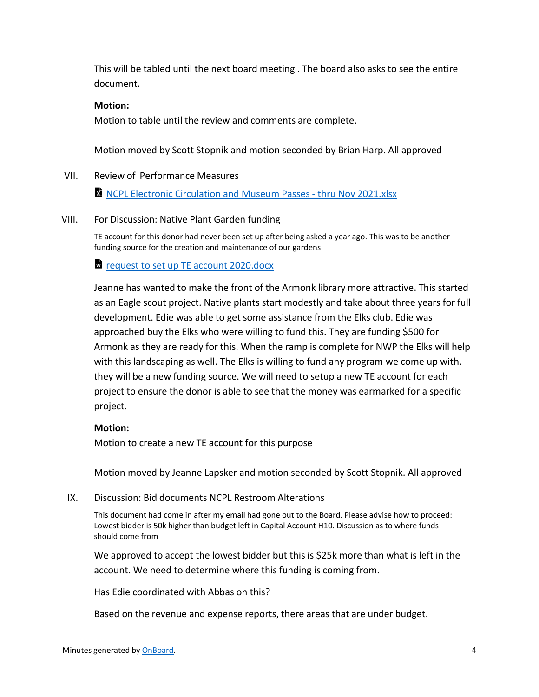This will be tabled until the next board meeting . The board also asks to see the entire document.

#### **Motion:**

Motion to table until the review and comments are complete.

Motion moved by Scott Stopnik and motion seconded by Brian Harp. All approved

#### VII. Review of Performance Measures

**R** NCPL Electronic Circulation and Museum Passes - thru Nov 2021.xlsx

#### VIII. For Discussion: Native Plant Garden funding

TE account for this donor had never been set up after being asked a year ago. This was to be another funding source for the creation and maintenance of our gardens

#### **T** request to set up TE account 2020.docx

Jeanne has wanted to make the front of the Armonk library more attractive. This started as an Eagle scout project. Native plants start modestly and take about three years for full development. Edie was able to get some assistance from the Elks club. Edie was approached buy the Elks who were willing to fund this. They are funding \$500 for Armonk as they are ready for this. When the ramp is complete for NWP the Elks will help with this landscaping as well. The Elks is willing to fund any program we come up with. they will be a new funding source. We will need to setup a new TE account for each project to ensure the donor is able to see that the money was earmarked for a specific project.

#### **Motion:**

Motion to create a new TE account for this purpose

Motion moved by Jeanne Lapsker and motion seconded by Scott Stopnik. All approved

#### IX. Discussion: Bid documents NCPL Restroom Alterations

This document had come in after my email had gone out to the Board. Please advise how to proceed: Lowest bidder is 50k higher than budget left in Capital Account H10. Discussion as to where funds should come from

We approved to accept the lowest bidder but this is \$25k more than what is left in the account. We need to determine where this funding is coming from.

Has Edie coordinated with Abbas on this?

Based on the revenue and expense reports, there areas that are under budget.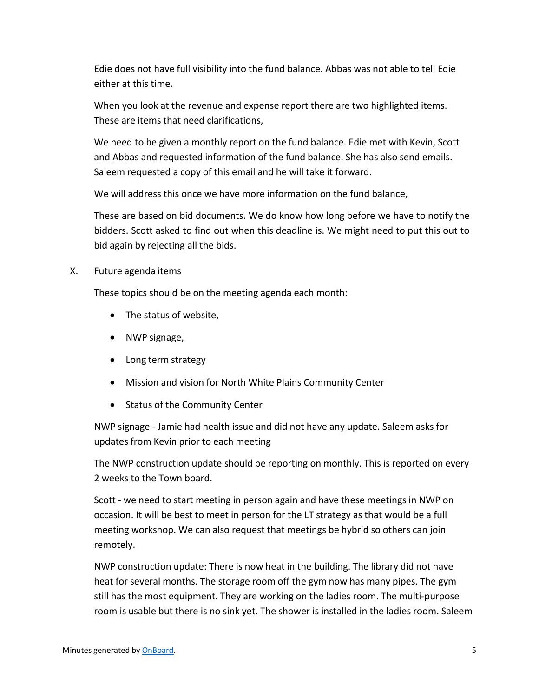Edie does not have full visibility into the fund balance. Abbas was not able to tell Edie either at this time.

When you look at the revenue and expense report there are two highlighted items. These are items that need clarifications,

We need to be given a monthly report on the fund balance. Edie met with Kevin, Scott and Abbas and requested information of the fund balance. She has also send emails. Saleem requested a copy of this email and he will take it forward.

We will address this once we have more information on the fund balance,

These are based on bid documents. We do know how long before we have to notify the bidders. Scott asked to find out when this deadline is. We might need to put this out to bid again by rejecting all the bids.

X. Future agenda items

These topics should be on the meeting agenda each month:

- The status of website,
- NWP signage,
- Long term strategy
- Mission and vision for North White Plains Community Center
- Status of the Community Center

NWP signage - Jamie had health issue and did not have any update. Saleem asks for updates from Kevin prior to each meeting

The NWP construction update should be reporting on monthly. This is reported on every 2 weeks to the Town board.

Scott - we need to start meeting in person again and have these meetings in NWP on occasion. It will be best to meet in person for the LT strategy as that would be a full meeting workshop. We can also request that meetings be hybrid so others can join remotely.

NWP construction update: There is now heat in the building. The library did not have heat for several months. The storage room off the gym now has many pipes. The gym still has the most equipment. They are working on the ladies room. The multi-purpose room is usable but there is no sink yet. The shower is installed in the ladies room. Saleem